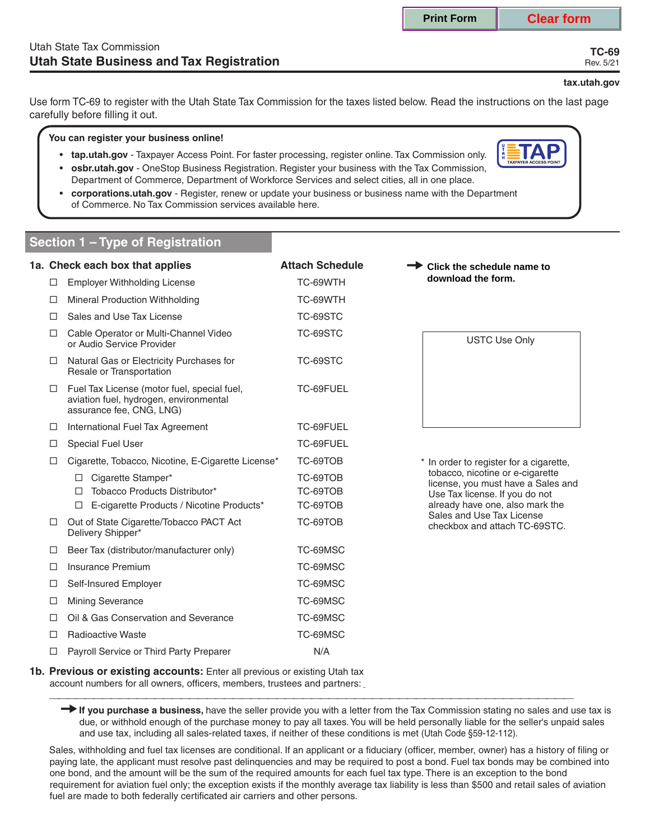**TC-69** Rev. 5/21

#### **tax.utah.gov**

Use form TC-69 to register with the Utah State Tax Commission for the taxes listed below. Read the instructions on the last page carefully before filling it out.

#### **You can register your business online!**

- **tap.utah.gov** Taxpayer Access Point. For faster processing, register online. Tax Commission only.
- **osbr.utah.gov** OneStop Business Registration. Register your business with the Tax Commission, Department of Commerce, Department of Workforce Services and select cities, all in one place.
- **corporations.utah.gov** Register, renew or update your business or business name with the Department of Commerce. No Tax Commission services available here.

# **Section 1 – Type of Registration**

|        | 1a. Check each box that applies                                                                                   | <b>Attach Schedule</b> | Click the schedule name to                                           |
|--------|-------------------------------------------------------------------------------------------------------------------|------------------------|----------------------------------------------------------------------|
| □      | <b>Employer Withholding License</b>                                                                               | TC-69WTH               | download the form.                                                   |
| □      | Mineral Production Withholding                                                                                    | TC-69WTH               |                                                                      |
| п      | Sales and Use Tax License                                                                                         | TC-69STC               |                                                                      |
| □      | Cable Operator or Multi-Channel Video<br>or Audio Service Provider                                                | TC-69STC               | <b>USTC Use Only</b>                                                 |
| ப      | Natural Gas or Electricity Purchases for<br>Resale or Transportation                                              | TC-69STC               |                                                                      |
| □      | Fuel Tax License (motor fuel, special fuel,<br>aviation fuel, hydrogen, environmental<br>assurance fee, CNG, LNG) | TC-69FUEL              |                                                                      |
| □      | International Fuel Tax Agreement                                                                                  | TC-69FUEL              |                                                                      |
| □      | Special Fuel User                                                                                                 | TC-69FUEL              |                                                                      |
| □      | Cigarette, Tobacco, Nicotine, E-Cigarette License*                                                                | TC-69TOB               | * In order to register for a cigarette,                              |
|        | Cigarette Stamper*<br>$\Box$                                                                                      | TC-69TOB               | tobacco, nicotine or e-cigarette                                     |
|        | Tobacco Products Distributor*<br>п                                                                                | TC-69TOB               | license, you must have a Sales and<br>Use Tax license. If you do not |
|        | E-cigarette Products / Nicotine Products*<br>□                                                                    | TC-69TOB               | already have one, also mark the                                      |
| $\Box$ | Out of State Cigarette/Tobacco PACT Act<br>Delivery Shipper*                                                      | TC-69TOB               | Sales and Use Tax License<br>checkbox and attach TC-69STC.           |
| □      | Beer Tax (distributor/manufacturer only)                                                                          | TC-69MSC               |                                                                      |
| П      | Insurance Premium                                                                                                 | TC-69MSC               |                                                                      |
| □      | Self-Insured Employer                                                                                             | TC-69MSC               |                                                                      |
| □      | <b>Mining Severance</b>                                                                                           | TC-69MSC               |                                                                      |
| □      | Oil & Gas Conservation and Severance                                                                              | TC-69MSC               |                                                                      |
| П      | <b>Radioactive Waste</b>                                                                                          | TC-69MSC               |                                                                      |
| □      | Payroll Service or Third Party Preparer                                                                           | N/A                    |                                                                      |

**1b. Previous or existing accounts:** Enter all previous or existing Utah tax **Previous of existing accounts.** Enter all previous of existing order tax<br>account numbers for all owners, officers, members, trustees and partners: \_\_\_\_\_\_\_\_\_\_\_\_\_\_\_\_\_\_\_\_\_\_\_\_\_\_\_\_\_\_\_\_\_\_\_\_\_\_\_\_\_\_\_\_\_\_\_\_\_\_\_\_\_\_\_\_\_\_\_\_

If you purchase a business, have the seller provide you with a letter from the Tax Commission stating no sales and use tax is due, or withhold enough of the purchase money to pay all taxes. You will be held personally liable for the seller's unpaid sales and use tax, including all sales-related taxes, if neither of these conditions is met (Utah Code §59-12-112).

 Sales, withholding and fuel tax licenses are conditional. If an applicant or a fiduciary (officer, member, owner) has a history of filing or paying late, the applicant must resolve past delinquencies and may be required to post a bond. Fuel tax bonds may be combined into one bond, and the amount will be the sum of the required amounts for each fuel tax type. There is an exception to the bond requirement for aviation fuel only; the exception exists if the monthly average tax liability is less than \$500 and retail sales of aviation fuel are made to both federally certificated air carriers and other persons.

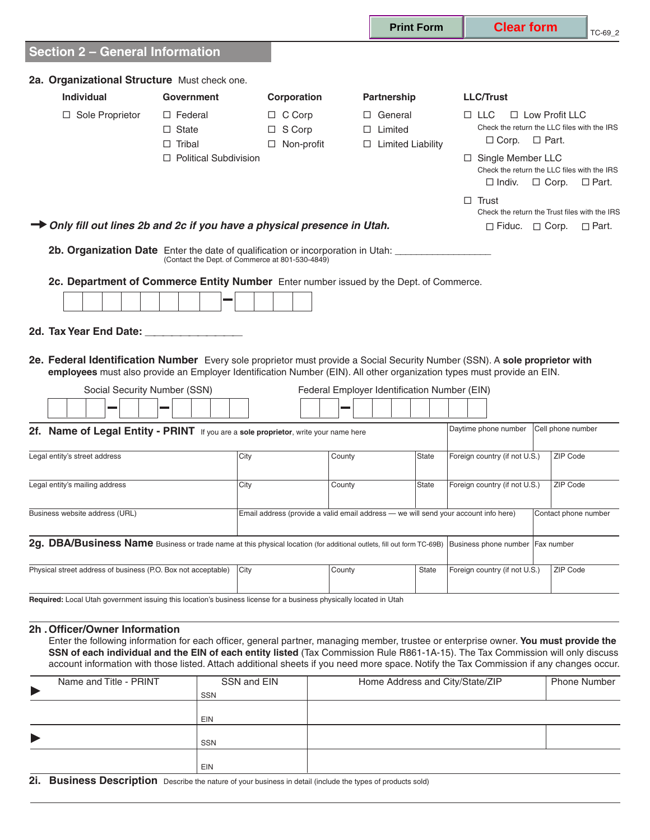|                                                                                                                                                                                                                                                                                                                                                                                                                     |                                                                                 |                                                                                     |                                                              | <b>Print Form</b> | <b>Clear form</b>                                                                                                                   |                                                                                      | TC-69_2      |
|---------------------------------------------------------------------------------------------------------------------------------------------------------------------------------------------------------------------------------------------------------------------------------------------------------------------------------------------------------------------------------------------------------------------|---------------------------------------------------------------------------------|-------------------------------------------------------------------------------------|--------------------------------------------------------------|-------------------|-------------------------------------------------------------------------------------------------------------------------------------|--------------------------------------------------------------------------------------|--------------|
| <b>Section 2 - General Information</b>                                                                                                                                                                                                                                                                                                                                                                              |                                                                                 |                                                                                     |                                                              |                   |                                                                                                                                     |                                                                                      |              |
| 2a. Organizational Structure Must check one.                                                                                                                                                                                                                                                                                                                                                                        |                                                                                 |                                                                                     |                                                              |                   |                                                                                                                                     |                                                                                      |              |
| <b>Individual</b>                                                                                                                                                                                                                                                                                                                                                                                                   | <b>Government</b>                                                               | Corporation                                                                         | Partnership                                                  |                   | <b>LLC/Trust</b>                                                                                                                    |                                                                                      |              |
| $\Box$ Sole Proprietor                                                                                                                                                                                                                                                                                                                                                                                              | $\Box$ Federal<br>$\Box$ State<br>$\Box$ Tribal<br>$\Box$ Political Subdivision | $\Box$ C Corp<br>$\Box$ S Corp<br>$\Box$ Non-profit                                 | $\Box$ General<br>$\Box$ Limited<br>$\Box$ Limited Liability |                   | $\Box$ LLC<br>$\Box$ Corp. $\Box$ Part.<br>$\Box$ Single Member LLC<br>Check the return the LLC files with the IRS<br>$\Box$ Indiv. | $\Box$ Low Profit LLC<br>Check the return the LLC files with the IRS<br>$\Box$ Corp. | $\Box$ Part. |
|                                                                                                                                                                                                                                                                                                                                                                                                                     |                                                                                 |                                                                                     |                                                              |                   | $\Box$ Trust                                                                                                                        |                                                                                      |              |
|                                                                                                                                                                                                                                                                                                                                                                                                                     |                                                                                 |                                                                                     |                                                              |                   |                                                                                                                                     | Check the return the Trust files with the IRS                                        |              |
| → Only fill out lines 2b and 2c if you have a physical presence in Utah.                                                                                                                                                                                                                                                                                                                                            |                                                                                 |                                                                                     |                                                              |                   | $\Box$ Fiduc. $\Box$ Corp.                                                                                                          |                                                                                      | $\Box$ Part. |
| 2b. Organization Date Enter the date of qualification or incorporation in Utah: ___________________                                                                                                                                                                                                                                                                                                                 |                                                                                 | (Contact the Dept. of Commerce at 801-530-4849)                                     |                                                              |                   |                                                                                                                                     |                                                                                      |              |
|                                                                                                                                                                                                                                                                                                                                                                                                                     |                                                                                 |                                                                                     |                                                              |                   |                                                                                                                                     |                                                                                      |              |
| 2c. Department of Commerce Entity Number Enter number issued by the Dept. of Commerce.                                                                                                                                                                                                                                                                                                                              |                                                                                 |                                                                                     |                                                              |                   |                                                                                                                                     |                                                                                      |              |
|                                                                                                                                                                                                                                                                                                                                                                                                                     |                                                                                 |                                                                                     |                                                              |                   |                                                                                                                                     |                                                                                      |              |
| 2d. Tax Year End Date: 2008. Tax Year End Date:                                                                                                                                                                                                                                                                                                                                                                     |                                                                                 |                                                                                     |                                                              |                   |                                                                                                                                     |                                                                                      |              |
| 2e. Federal Identification Number Every sole proprietor must provide a Social Security Number (SSN). A sole proprietor with<br>employees must also provide an Employer Identification Number (EIN). All other organization types must provide an EIN.                                                                                                                                                               |                                                                                 |                                                                                     |                                                              |                   |                                                                                                                                     |                                                                                      |              |
| Social Security Number (SSN)                                                                                                                                                                                                                                                                                                                                                                                        |                                                                                 |                                                                                     | Federal Employer Identification Number (EIN)                 |                   |                                                                                                                                     |                                                                                      |              |
|                                                                                                                                                                                                                                                                                                                                                                                                                     |                                                                                 |                                                                                     |                                                              |                   |                                                                                                                                     |                                                                                      |              |
| 2f. Name of Legal Entity - PRINT If you are a sole proprietor, write your name here                                                                                                                                                                                                                                                                                                                                 |                                                                                 |                                                                                     |                                                              |                   | Daytime phone number                                                                                                                | Cell phone number                                                                    |              |
| Legal entity's street address                                                                                                                                                                                                                                                                                                                                                                                       |                                                                                 | City                                                                                | County                                                       | <b>State</b>      | Foreign country (if not U.S.)                                                                                                       | ZIP Code                                                                             |              |
| Legal entity's mailing address                                                                                                                                                                                                                                                                                                                                                                                      |                                                                                 | City                                                                                | County                                                       | <b>State</b>      | Foreign country (if not U.S.)                                                                                                       | ZIP Code                                                                             |              |
| Business website address (URL)                                                                                                                                                                                                                                                                                                                                                                                      |                                                                                 | Email address (provide a valid email address - we will send your account info here) |                                                              |                   |                                                                                                                                     | Contact phone number                                                                 |              |
| 2g. DBA/Business Name Business or trade name at this physical location (for additional outlets, fill out form TC-69B)                                                                                                                                                                                                                                                                                               |                                                                                 |                                                                                     |                                                              |                   | Business phone number                                                                                                               | Fax number                                                                           |              |
| Physical street address of business (P.O. Box not acceptable)                                                                                                                                                                                                                                                                                                                                                       |                                                                                 | City                                                                                | County                                                       | <b>State</b>      | Foreign country (if not U.S.)                                                                                                       | ZIP Code                                                                             |              |
| Required: Local Utah government issuing this location's business license for a business physically located in Utah                                                                                                                                                                                                                                                                                                  |                                                                                 |                                                                                     |                                                              |                   |                                                                                                                                     |                                                                                      |              |
| 2h . Officer/Owner Information                                                                                                                                                                                                                                                                                                                                                                                      |                                                                                 |                                                                                     |                                                              |                   |                                                                                                                                     |                                                                                      |              |
| Enter the following information for each officer, general partner, managing member, trustee or enterprise owner. You must provide the<br>SSN of each individual and the EIN of each entity listed (Tax Commission Rule R861-1A-15). The Tax Commission will only discuss<br>account information with those listed. Attach additional sheets if you need more space. Notify the Tax Commission if any changes occur. |                                                                                 |                                                                                     |                                                              |                   |                                                                                                                                     |                                                                                      |              |

|                       | Name and Title - PRINT | SSN and EIN | Home Address and City/State/ZIP | <b>Phone Number</b> |
|-----------------------|------------------------|-------------|---------------------------------|---------------------|
| $\blacktriangleright$ |                        | SSN         |                                 |                     |
|                       |                        |             |                                 |                     |
|                       |                        | EIN         |                                 |                     |
| $\blacktriangleright$ |                        |             |                                 |                     |
|                       |                        | <b>SSN</b>  |                                 |                     |
|                       |                        |             |                                 |                     |
|                       |                        | <b>EIN</b>  |                                 |                     |

**2i. Business Description** Describe the nature of your business in detail (include the types of products sold)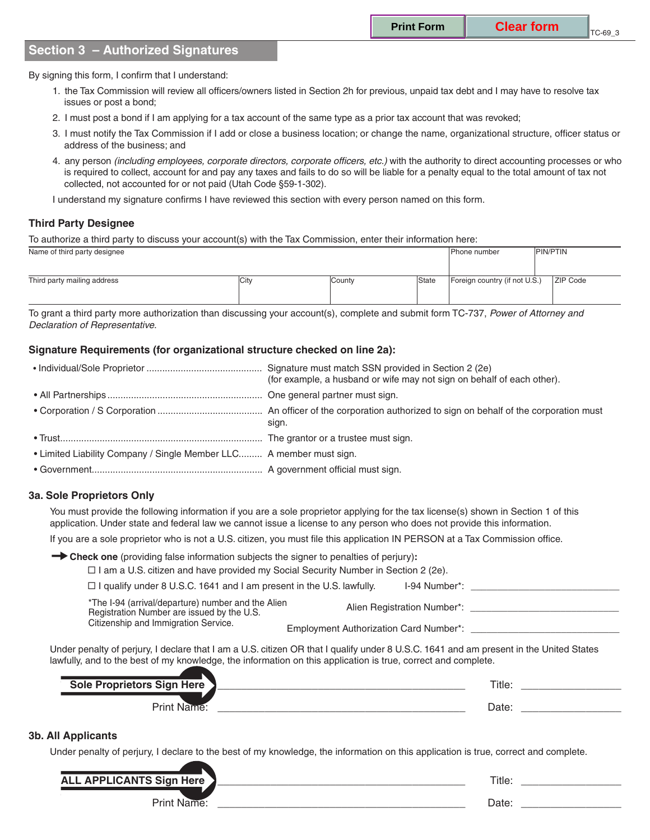# **Section 3 – Authorized Signatures**

By signing this form, I confirm that I understand:

- 1. the Tax Commission will review all officers/owners listed in Section 2h for previous, unpaid tax debt and I may have to resolve tax issues or post a bond;
- 2. I must post a bond if I am applying for a tax account of the same type as a prior tax account that was revoked;
- 3. I must notify the Tax Commission if I add or close a business location; or change the name, organizational structure, officer status or address of the business; and
- 4. any person *(including employees, corporate directors, corporate officers, etc.)* with the authority to direct accounting processes or who is required to collect, account for and pay any taxes and fails to do so will be liable for a penalty equal to the total amount of tax not collected, not accounted for or not paid (Utah Code §59-1-302).
- I understand my signature confirms I have reviewed this section with every person named on this form.

## **Third Party Designee**

To authorize a third party to discuss your account(s) with the Tax Commission, enter their information here:

| Name of third party designee |      |        |       | l Phone number                | <b>PIN/PTIN</b> |
|------------------------------|------|--------|-------|-------------------------------|-----------------|
|                              |      |        |       |                               |                 |
| Third party mailing address  | City | County | State | Foreign country (if not U.S.) | <b>ZIP Code</b> |
|                              |      |        |       |                               |                 |

To grant a third party more authorization than discussing your account(s), complete and submit form TC-737, *Power of Attorney and Declaration of Representative*.

### **Signature Requirements (for organizational structure checked on line 2a):**

|                                                                     | (for example, a husband or wife may not sign on behalf of each other). |
|---------------------------------------------------------------------|------------------------------------------------------------------------|
|                                                                     |                                                                        |
|                                                                     | sign.                                                                  |
|                                                                     |                                                                        |
| • Limited Liability Company / Single Member LLC A member must sign. |                                                                        |
|                                                                     |                                                                        |

### **3a. Sole Proprietors Only**

You must provide the following information if you are a sole proprietor applying for the tax license(s) shown in Section 1 of this application. Under state and federal law we cannot issue a license to any person who does not provide this information.

If you are a sole proprietor who is not a U.S. citizen, you must file this application IN PERSON at a Tax Commission office.

**Check one** (providing false information subjects the signer to penalties of perjury)**:**

| $\Box$ I am a U.S. citizen and have provided my Social Security Number in Section 2 (2e). |               |  |
|-------------------------------------------------------------------------------------------|---------------|--|
| $\Box$ I qualify under 8 U.S.C. 1641 and I am present in the U.S. lawfully.               | I-94 Number*: |  |
|                                                                                           |               |  |

\*The I-94 (arrival/departure) number and the Alien<br>
Registration Number are issued by the U.S.<br>
Citizenship and Immigration Service.

Employment Authorization Card Number\*: \_

Under penalty of perjury, I declare that I am a U.S. citizen OR that I qualify under 8 U.S.C. 1641 and am present in the United States lawfully, and to the best of my knowledge, the information on this application is true, correct and complete.

| Here<br><b>Contract</b><br>-<br>-- | ritle:         |  |
|------------------------------------|----------------|--|
| rin،<br>È                          | $\sim$<br>Dale |  |

#### **3b. All Applicants**

Under penalty of perjury, I declare to the best of my knowledge, the information on this application is true, correct and complete.

| <b>ALL APPLICANTS Sign I</b><br>Here | Title. |  |
|--------------------------------------|--------|--|
| יים ה                                | Dale   |  |